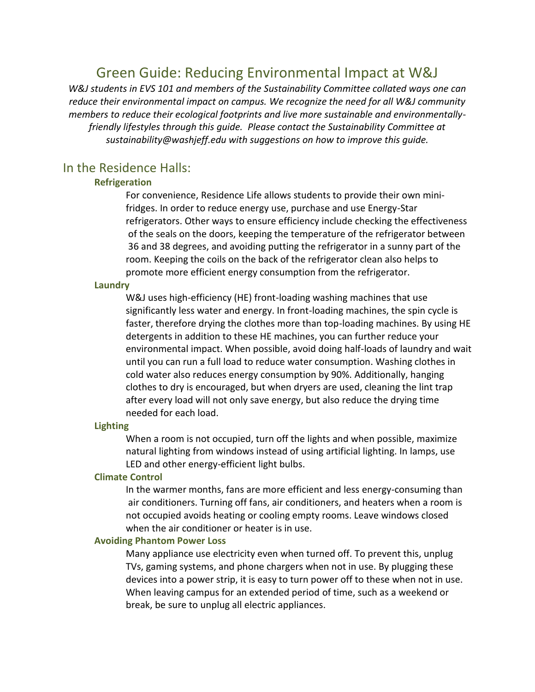# Green Guide: Reducing Environmental Impact at W&J

*W&J students in EVS 101 and members of the Sustainability Committee collated ways one can reduce their environmental impact on campus. We recognize the need for all W&J community members to reduce their ecological footprints and live more sustainable and environmentallyfriendly lifestyles through this guide. Please contact the Sustainability Committee at sustainability@washjeff.edu with suggestions on how to improve this guide.* 

## In the Residence Halls:

## **Refrigeration**

For convenience, Residence Life allows students to provide their own minifridges. In order to reduce energy use, purchase and use Energy-Star refrigerators. Other ways to ensure efficiency include checking the effectiveness of the seals on the doors, keeping the temperature of the refrigerator between 36 and 38 degrees, and avoiding putting the refrigerator in a sunny part of the room. Keeping the coils on the back of the refrigerator clean also helps to promote more efficient energy consumption from the refrigerator.

## **Laundry**

W&J uses high-efficiency (HE) front-loading washing machines that use significantly less water and energy. In front-loading machines, the spin cycle is faster, therefore drying the clothes more than top-loading machines. By using HE detergents in addition to these HE machines, you can further reduce your environmental impact. When possible, avoid doing half-loads of laundry and wait until you can run a full load to reduce water consumption. Washing clothes in cold water also reduces energy consumption by 90%. Additionally, hanging clothes to dry is encouraged, but when dryers are used, cleaning the lint trap after every load will not only save energy, but also reduce the drying time needed for each load.

#### **Lighting**

When a room is not occupied, turn off the lights and when possible, maximize natural lighting from windows instead of using artificial lighting. In lamps, use LED and other energy-efficient light bulbs.

## **Climate Control**

In the warmer months, fans are more efficient and less energy-consuming than air conditioners. Turning off fans, air conditioners, and heaters when a room is not occupied avoids heating or cooling empty rooms. Leave windows closed when the air conditioner or heater is in use.

#### **Avoiding Phantom Power Loss**

Many appliance use electricity even when turned off. To prevent this, unplug TVs, gaming systems, and phone chargers when not in use. By plugging these devices into a power strip, it is easy to turn power off to these when not in use. When leaving campus for an extended period of time, such as a weekend or break, be sure to unplug all electric appliances.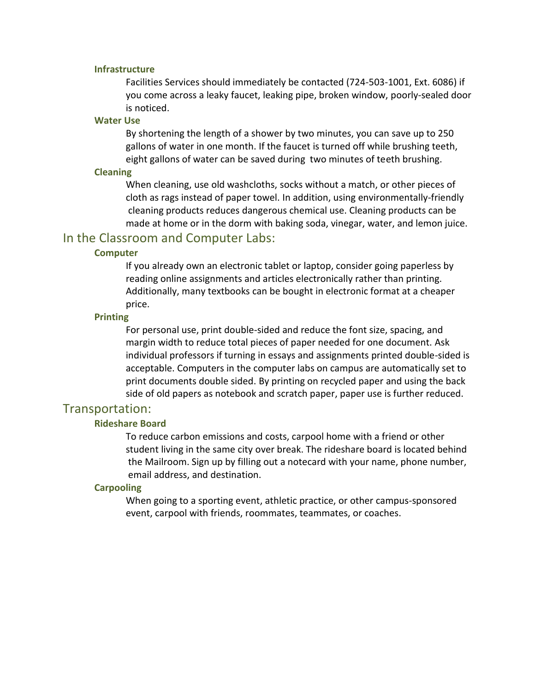#### **Infrastructure**

Facilities Services should immediately be contacted (724-503-1001, Ext. 6086) if you come across a leaky faucet, leaking pipe, broken window, poorly-sealed door is noticed.

## **Water Use**

By shortening the length of a shower by two minutes, you can save up to 250 gallons of water in one month. If the faucet is turned off while brushing teeth, eight gallons of water can be saved during two minutes of teeth brushing.

#### **Cleaning**

When cleaning, use old washcloths, socks without a match, or other pieces of cloth as rags instead of paper towel. In addition, using environmentally-friendly cleaning products reduces dangerous chemical use. Cleaning products can be made at home or in the dorm with baking soda, vinegar, water, and lemon juice.

## In the Classroom and Computer Labs:

## **Computer**

If you already own an electronic tablet or laptop, consider going paperless by reading online assignments and articles electronically rather than printing. Additionally, many textbooks can be bought in electronic format at a cheaper price.

## **Printing**

For personal use, print double-sided and reduce the font size, spacing, and margin width to reduce total pieces of paper needed for one document. Ask individual professors if turning in essays and assignments printed double-sided is acceptable. Computers in the computer labs on campus are automatically set to print documents double sided. By printing on recycled paper and using the back side of old papers as notebook and scratch paper, paper use is further reduced.

## Transportation:

## **Rideshare Board**

To reduce carbon emissions and costs, carpool home with a friend or other student living in the same city over break. The rideshare board is located behind the Mailroom. Sign up by filling out a notecard with your name, phone number, email address, and destination.

## **Carpooling**

When going to a sporting event, athletic practice, or other campus-sponsored event, carpool with friends, roommates, teammates, or coaches.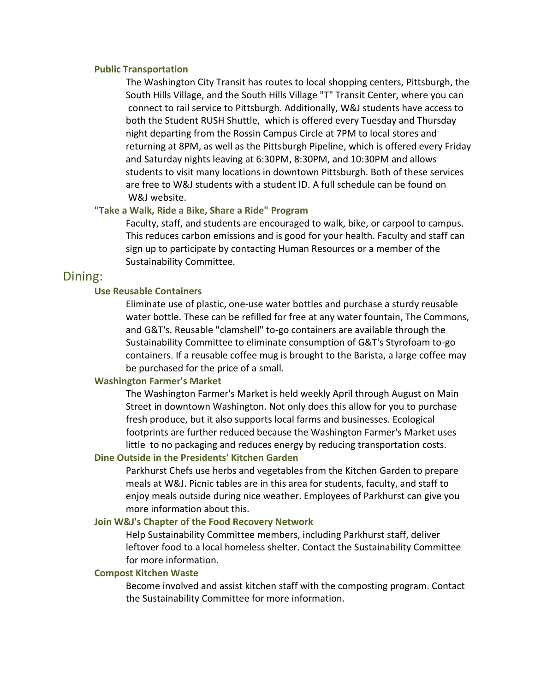#### **Public Transportation**

The Washington City Transit has routes to local shopping centers, Pittsburgh, the South Hills Village, and the South Hills Village "T" Transit Center, where you can connect to rail service to Pittsburgh. Additionally, W&J students have access to both the Student RUSH Shuttle, which is offered every Tuesday and Thursday night departing from the Rossin Campus Circle at 7PM to local stores and returning at 8PM, as well as the Pittsburgh Pipeline, which is offered every Friday and Saturday nights leaving at 6:30PM, 8:30PM, and 10:30PM and allows students to visit many locations in downtown Pittsburgh. Both of these services are free to W&J students with a student ID. A full schedule can be found on W&J website.

#### **"Take a Walk, Ride a Bike, Share a Ride" Program**

Faculty, staff, and students are encouraged to walk, bike, or carpool to campus. This reduces carbon emissions and is good for your health. Faculty and staff can sign up to participate by contacting Human Resources or a member of the Sustainability Committee.

## Dining:

#### **Use Reusable Containers**

Eliminate use of plastic, one-use water bottles and purchase a sturdy reusable water bottle. These can be refilled for free at any water fountain, The Commons, and G&T's. Reusable "clamshell" to-go containers are available through the Sustainability Committee to eliminate consumption of G&T's Styrofoam to-go containers. If a reusable coffee mug is brought to the Barista, a large coffee may be purchased for the price of a small.

## **Washington Farmer's Market**

The Washington Farmer's Market is held weekly April through August on Main Street in downtown Washington. Not only does this allow for you to purchase fresh produce, but it also supports local farms and businesses. Ecological footprints are further reduced because the Washington Farmer's Market uses little to no packaging and reduces energy by reducing transportation costs.

## **Dine Outside in the Presidents' Kitchen Garden**

Parkhurst Chefs use herbs and vegetables from the Kitchen Garden to prepare meals at W&J. Picnic tables are in this area for students, faculty, and staff to enjoy meals outside during nice weather. Employees of Parkhurst can give you more information about this.

#### **Join W&J's Chapter of the Food Recovery Network**

Help Sustainability Committee members, including Parkhurst staff, deliver leftover food to a local homeless shelter. Contact the Sustainability Committee for more information.

#### **Compost Kitchen Waste**

Become involved and assist kitchen staff with the composting program. Contact the Sustainability Committee for more information.